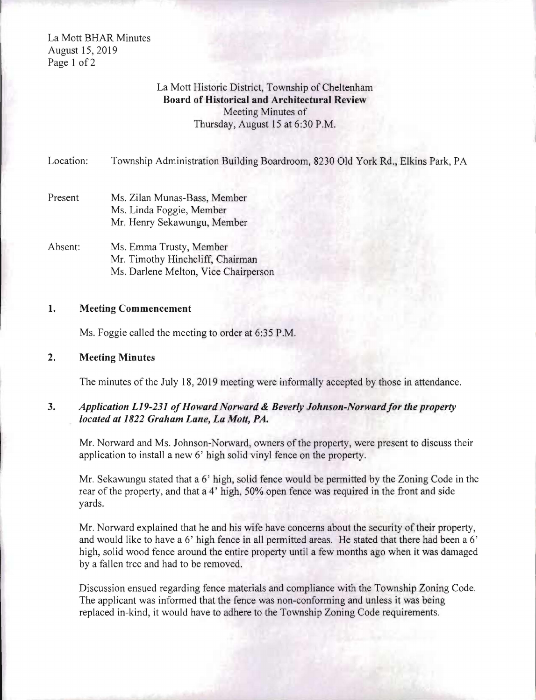La Mott BHAR Minutes August 15,2019 Page 1 of 2

# La Mott Historic District, Township of Cheltenham Board of Historical and Architectural Review Meeting Minutes of Thursday, August 15 at 6:30 P.M.

Location: Township Administration Building Boardroom, 8230 Old York Rd., Elkins Park, PA

- Present Ms. Zilan Munas-Bass, Member Ms. Linda Foggie, Member Mr. Henry Sekawungu, Member
- Absent: Ms. Emma Trusty, Member Mr. Timothy Hinchcliff, Chairman Ms. Darlene Melton, Vice Chairperson

### 1. Meeting Commencement

Ms. Foggie called the meeting to order at 6:35 P.M.

### 2. Meeting Minutes

The minutes of the July 18, 2019 meeting were informally accepted by those in attendance.

## *3. Application L19-231 ofHoward Norward* & *Beverly Johnson-Norwardfor the property located at* 1822 *Graham Lane, La Molt, PA.*

Mr. Norward and Ms. Johnson-Norward, owners of the property, were present to discuss their application to install a new 6' high solid vinyl fence on the property.

Mr. Sekawungu stated that a 6' high, solid fence would be permitted by the Zoning Code in the rear of the property, and that a 4' high, 50% open fence was required in the front and side yards.

Mr. Norward explained that he and his wife have concerns about the security of their property, and would like to have a 6' high fence in all permitted areas. He stated that there had been a 6' high, solid wood fence around the entire property until a few months ago when it was damaged by a fallen tree and had to be removed.

Discussion ensued regarding fence materials and compliance with the Township Zoning Code. The applicant was informed that the fence was non-conforming and unless it was being replaced in-kind, it would have to adhere to the Township Zoning Code requirements.